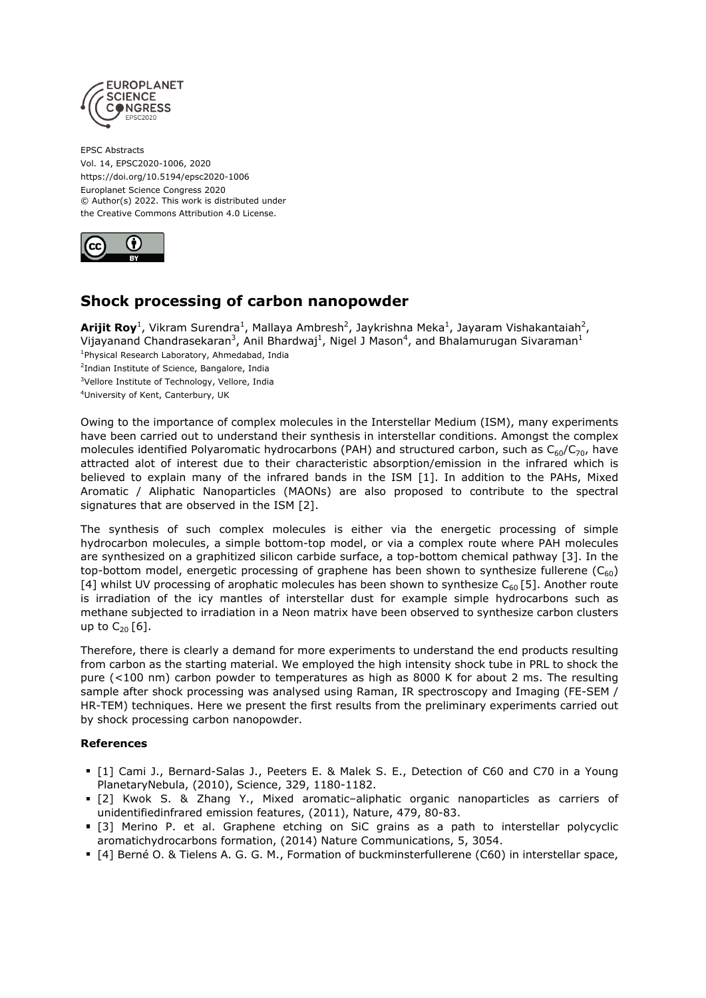

EPSC Abstracts Vol. 14, EPSC2020-1006, 2020 https://doi.org/10.5194/epsc2020-1006 Europlanet Science Congress 2020 © Author(s) 2022. This work is distributed under the Creative Commons Attribution 4.0 License.



## **Shock processing of carbon nanopowder**

**Arijit Roy**<sup>1</sup>, Vikram Surendra<sup>1</sup>, Mallaya Ambresh<sup>2</sup>, Jaykrishna Meka<sup>1</sup>, Jayaram Vishakantaiah<sup>2</sup>, Vijayanand Chandrasekaran<sup>3</sup>, Anil Bhardwaj<sup>1</sup>, Nigel J Mason<sup>4</sup>, and Bhalamurugan Sivaraman<sup>1</sup> <sup>1</sup>Physical Research Laboratory, Ahmedabad, India <sup>2</sup>Indian Institute of Science, Bangalore, India <sup>3</sup>Vellore Institute of Technology, Vellore, India <sup>4</sup>University of Kent, Canterbury, UK

Owing to the importance of complex molecules in the Interstellar Medium (ISM), many experiments have been carried out to understand their synthesis in interstellar conditions. Amongst the complex molecules identified Polyaromatic hydrocarbons (PAH) and structured carbon, such as  $C_{60}/C_{70}$ , have attracted alot of interest due to their characteristic absorption/emission in the infrared which is believed to explain many of the infrared bands in the ISM [1]. In addition to the PAHs, Mixed Aromatic / Aliphatic Nanoparticles (MAONs) are also proposed to contribute to the spectral signatures that are observed in the ISM [2].

The synthesis of such complex molecules is either via the energetic processing of simple hydrocarbon molecules, a simple bottom-top model, or via a complex route where PAH molecules are synthesized on a graphitized silicon carbide surface, a top-bottom chemical pathway [3]. In the top-bottom model, energetic processing of graphene has been shown to synthesize fullerene  $(C_{60})$ [4] whilst UV processing of arophatic molecules has been shown to synthesize  $C_{60}$  [5]. Another route is irradiation of the icy mantles of interstellar dust for example simple hydrocarbons such as methane subjected to irradiation in a Neon matrix have been observed to synthesize carbon clusters up to  $C_{20}$  [6].

Therefore, there is clearly a demand for more experiments to understand the end products resulting from carbon as the starting material. We employed the high intensity shock tube in PRL to shock the pure (<100 nm) carbon powder to temperatures as high as 8000 K for about 2 ms. The resulting sample after shock processing was analysed using Raman, IR spectroscopy and Imaging (FE-SEM / HR-TEM) techniques. Here we present the first results from the preliminary experiments carried out by shock processing carbon nanopowder.

## **References**

- [1] Cami J., Bernard-Salas J., Peeters E. & Malek S. E., Detection of C60 and C70 in a Young PlanetaryNebula, (2010), Science, 329, 1180-1182.
- [2] Kwok S. & Zhang Y., Mixed aromatic-aliphatic organic nanoparticles as carriers of unidentifiedinfrared emission features, (2011), Nature, 479, 80-83.
- [3] Merino P. et al. Graphene etching on SiC grains as a path to interstellar polycyclic aromatichydrocarbons formation, (2014) Nature Communications, 5, 3054.
- [4] Berné O. & Tielens A. G. G. M., Formation of buckminsterfullerene (C60) in interstellar space,